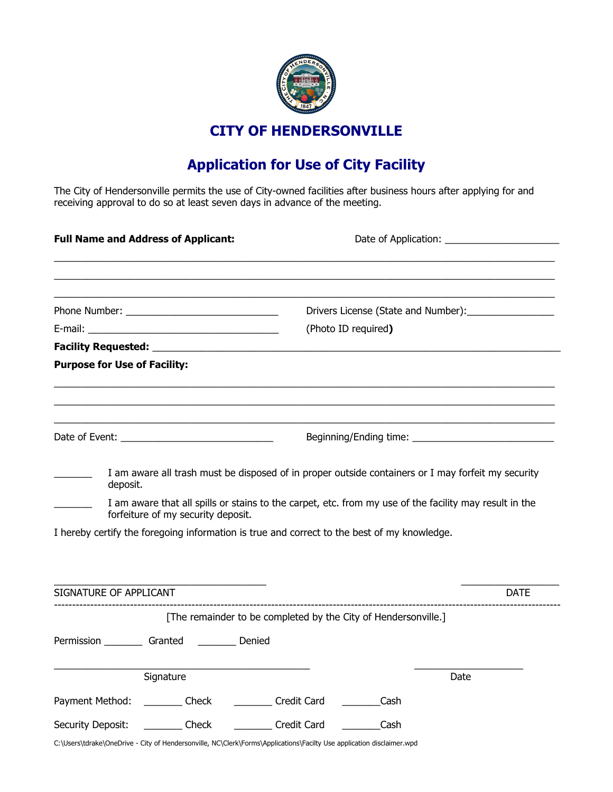

**CITY OF HENDERSONVILLE**

## **Application for Use of City Facility**

The City of Hendersonville permits the use of City-owned facilities after business hours after applying for and receiving approval to do so at least seven days in advance of the meeting.

| <b>Full Name and Address of Applicant:</b>      |                                    |                                                                                                                                                                                                       |                                     |      |             |  |
|-------------------------------------------------|------------------------------------|-------------------------------------------------------------------------------------------------------------------------------------------------------------------------------------------------------|-------------------------------------|------|-------------|--|
|                                                 |                                    |                                                                                                                                                                                                       |                                     |      |             |  |
|                                                 |                                    |                                                                                                                                                                                                       | Drivers License (State and Number): |      |             |  |
|                                                 |                                    |                                                                                                                                                                                                       | (Photo ID required)                 |      |             |  |
|                                                 |                                    |                                                                                                                                                                                                       |                                     |      |             |  |
| <b>Purpose for Use of Facility:</b>             |                                    |                                                                                                                                                                                                       |                                     |      |             |  |
|                                                 |                                    |                                                                                                                                                                                                       |                                     |      |             |  |
|                                                 |                                    |                                                                                                                                                                                                       |                                     |      |             |  |
| deposit.                                        | forfeiture of my security deposit. | I am aware that all spills or stains to the carpet, etc. from my use of the facility may result in the<br>I hereby certify the foregoing information is true and correct to the best of my knowledge. |                                     |      |             |  |
| SIGNATURE OF APPLICANT                          |                                    |                                                                                                                                                                                                       |                                     |      | <b>DATE</b> |  |
|                                                 |                                    | [The remainder to be completed by the City of Hendersonville.]                                                                                                                                        |                                     |      |             |  |
| Permission __________ Granted __________ Denied |                                    |                                                                                                                                                                                                       |                                     |      |             |  |
| Signature                                       |                                    |                                                                                                                                                                                                       |                                     | Date |             |  |
| Payment Method: Check                           |                                    | Credit Card                                                                                                                                                                                           | Cash                                |      |             |  |
| Security Deposit:                               | <b>Check</b>                       | Credit Card                                                                                                                                                                                           | Cash                                |      |             |  |
|                                                 |                                    | C:\Users\tdrake\OneDrive - City of Hendersonville, NC\Clerk\Forms\Applications\Facilty Use application disclaimer.wpd                                                                                 |                                     |      |             |  |